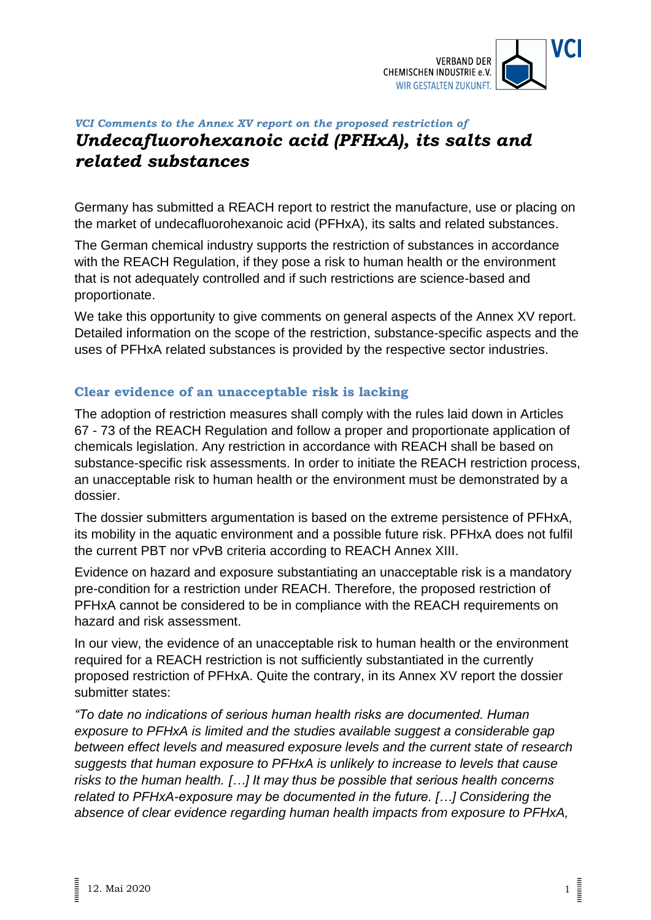

## *VCI Comments to the Annex XV report on the proposed restriction of Undecafluorohexanoic acid (PFHxA), its salts and related substances*

Germany has submitted a REACH report to restrict the manufacture, use or placing on the market of undecafluorohexanoic acid (PFHxA), its salts and related substances.

The German chemical industry supports the restriction of substances in accordance with the REACH Regulation, if they pose a risk to human health or the environment that is not adequately controlled and if such restrictions are science-based and proportionate.

We take this opportunity to give comments on general aspects of the Annex XV report. Detailed information on the scope of the restriction, substance-specific aspects and the uses of PFHxA related substances is provided by the respective sector industries.

## **Clear evidence of an unacceptable risk is lacking**

The adoption of restriction measures shall comply with the rules laid down in Articles 67 - 73 of the REACH Regulation and follow a proper and proportionate application of chemicals legislation. Any restriction in accordance with REACH shall be based on substance-specific risk assessments. In order to initiate the REACH restriction process, an unacceptable risk to human health or the environment must be demonstrated by a dossier.

The dossier submitters argumentation is based on the extreme persistence of PFHxA, its mobility in the aquatic environment and a possible future risk. PFHxA does not fulfil the current PBT nor vPvB criteria according to REACH Annex XIII.

Evidence on hazard and exposure substantiating an unacceptable risk is a mandatory pre-condition for a restriction under REACH. Therefore, the proposed restriction of PFHxA cannot be considered to be in compliance with the REACH requirements on hazard and risk assessment.

In our view, the evidence of an unacceptable risk to human health or the environment required for a REACH restriction is not sufficiently substantiated in the currently proposed restriction of PFHxA. Quite the contrary, in its Annex XV report the dossier submitter states:

*"To date no indications of serious human health risks are documented. Human exposure to PFHxA is limited and the studies available suggest a considerable gap between effect levels and measured exposure levels and the current state of research suggests that human exposure to PFHxA is unlikely to increase to levels that cause risks to the human health. […] It may thus be possible that serious health concerns related to PFHxA-exposure may be documented in the future. […] Considering the absence of clear evidence regarding human health impacts from exposure to PFHxA,*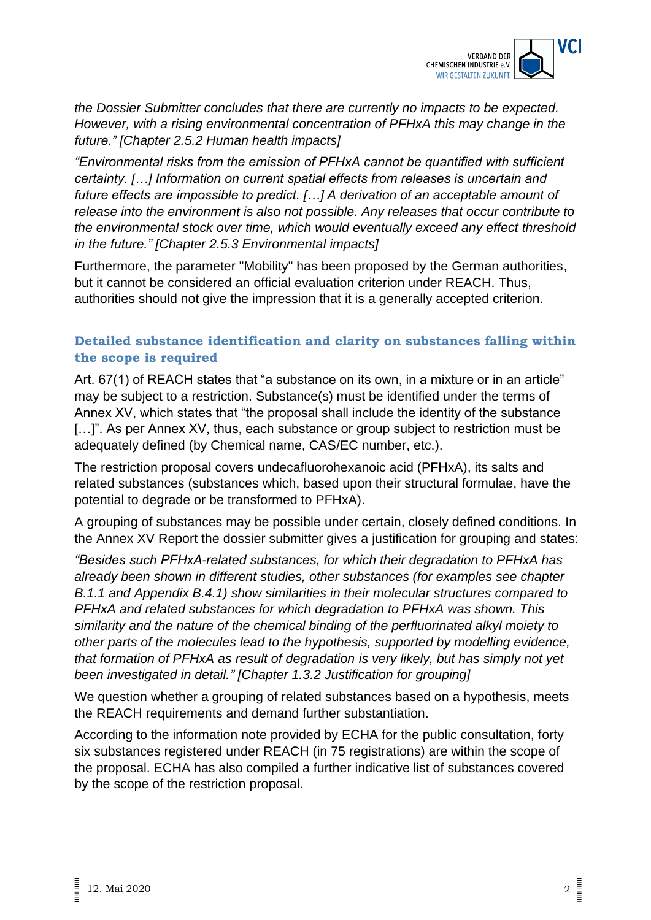

*the Dossier Submitter concludes that there are currently no impacts to be expected. However, with a rising environmental concentration of PFHxA this may change in the future." [Chapter 2.5.2 Human health impacts]*

*"Environmental risks from the emission of PFHxA cannot be quantified with sufficient certainty. […] Information on current spatial effects from releases is uncertain and future effects are impossible to predict. […] A derivation of an acceptable amount of release into the environment is also not possible. Any releases that occur contribute to the environmental stock over time, which would eventually exceed any effect threshold in the future." [Chapter 2.5.3 Environmental impacts]*

Furthermore, the parameter "Mobility" has been proposed by the German authorities, but it cannot be considered an official evaluation criterion under REACH. Thus, authorities should not give the impression that it is a generally accepted criterion.

## **Detailed substance identification and clarity on substances falling within the scope is required**

Art. 67(1) of REACH states that "a substance on its own, in a mixture or in an article" may be subject to a restriction. Substance(s) must be identified under the terms of Annex XV, which states that "the proposal shall include the identity of the substance [...]". As per Annex XV, thus, each substance or group subject to restriction must be adequately defined (by Chemical name, CAS/EC number, etc.).

The restriction proposal covers undecafluorohexanoic acid (PFHxA), its salts and related substances (substances which, based upon their structural formulae, have the potential to degrade or be transformed to PFHxA).

A grouping of substances may be possible under certain, closely defined conditions. In the Annex XV Report the dossier submitter gives a justification for grouping and states:

*"Besides such PFHxA-related substances, for which their degradation to PFHxA has already been shown in different studies, other substances (for examples see chapter B.1.1 and Appendix B.4.1) show similarities in their molecular structures compared to PFHxA and related substances for which degradation to PFHxA was shown. This similarity and the nature of the chemical binding of the perfluorinated alkyl moiety to other parts of the molecules lead to the hypothesis, supported by modelling evidence, that formation of PFHxA as result of degradation is very likely, but has simply not yet been investigated in detail." [Chapter 1.3.2 Justification for grouping]*

We question whether a grouping of related substances based on a hypothesis, meets the REACH requirements and demand further substantiation.

According to the information note provided by ECHA for the public consultation, forty six substances registered under REACH (in 75 registrations) are within the scope of the proposal. ECHA has also compiled a further indicative list of substances covered by the scope of the restriction proposal.